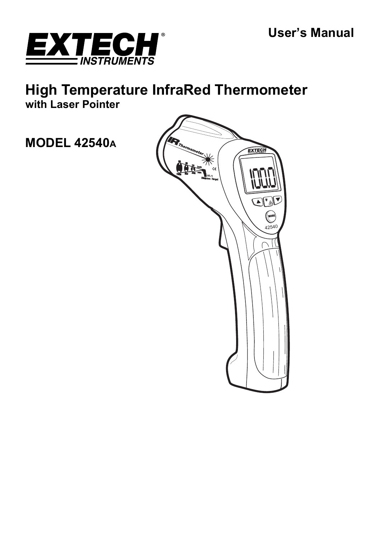

# **High Temperature InfraRed Thermometer with Laser Pointer**

**MODEL 42540A**

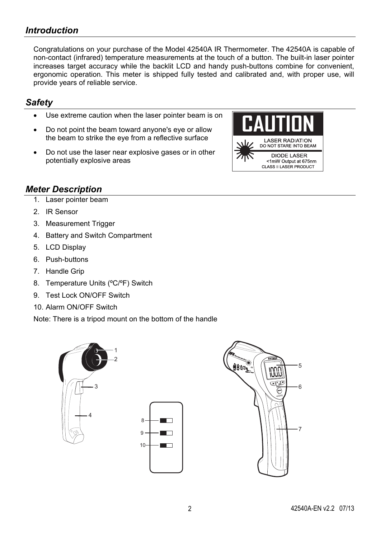## *Introduction*

Congratulations on your purchase of the Model 42540A IR Thermometer. The 42540A is capable of non-contact (infrared) temperature measurements at the touch of a button. The built-in laser pointer increases target accuracy while the backlit LCD and handy push-buttons combine for convenient, ergonomic operation. This meter is shipped fully tested and calibrated and, with proper use, will provide years of reliable service.

## *Safety*

- Use extreme caution when the laser pointer beam is on
- Do not point the beam toward anyone's eye or allow the beam to strike the eye from a reflective surface
- Do not use the laser near explosive gases or in other potentially explosive areas



## *Meter Description*

- 1. Laser pointer beam
- 2. IR Sensor
- 3. Measurement Trigger
- 4. Battery and Switch Compartment
- 5. LCD Display
- 6. Push-buttons
- 7. Handle Grip
- 8. Temperature Units (ºC/ºF) Switch
- 9. Test Lock ON/OFF Switch
- 10. Alarm ON/OFF Switch

Note: There is a tripod mount on the bottom of the handle





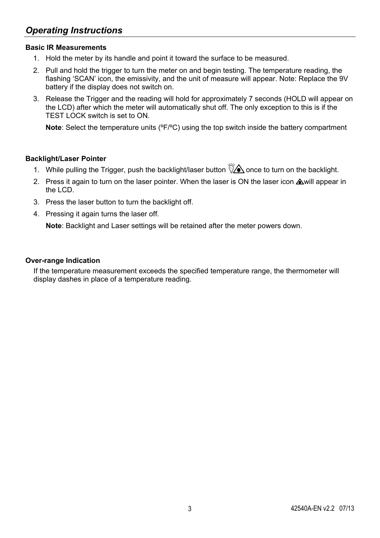#### **Basic IR Measurements**

- 1. Hold the meter by its handle and point it toward the surface to be measured.
- 2. Pull and hold the trigger to turn the meter on and begin testing. The temperature reading, the flashing 'SCAN' icon, the emissivity, and the unit of measure will appear. Note: Replace the 9V battery if the display does not switch on.
- 3. Release the Trigger and the reading will hold for approximately 7 seconds (HOLD will appear on the LCD) after which the meter will automatically shut off. The only exception to this is if the TEST LOCK switch is set to ON.

**Note:** Select the temperature units ( ${}^{\circ}F/{}^{\circ}C$ ) using the top switch inside the battery compartment

#### **Backlight/Laser Pointer**

- 1. While pulling the Trigger, push the backlight/laser button  $\sqrt{\hat{z}}$  once to turn on the backlight.
- 2. Press it again to turn on the laser pointer. When the laser is ON the laser icon  $\triangle$  will appear in the LCD.
- 3. Press the laser button to turn the backlight off.
- 4. Pressing it again turns the laser off.

**Note**: Backlight and Laser settings will be retained after the meter powers down.

#### **Over-range Indication**

If the temperature measurement exceeds the specified temperature range, the thermometer will display dashes in place of a temperature reading.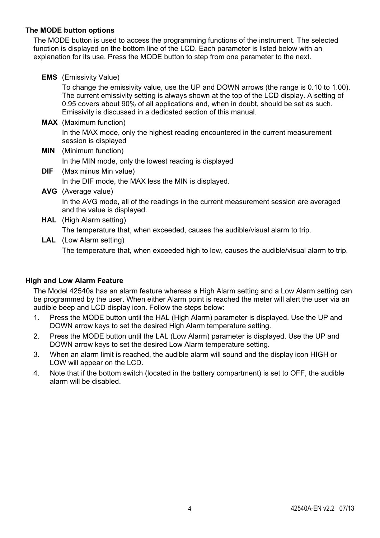#### **The MODE button options**

The MODE button is used to access the programming functions of the instrument. The selected function is displayed on the bottom line of the LCD. Each parameter is listed below with an explanation for its use. Press the MODE button to step from one parameter to the next.

**EMS** (Emissivity Value)

To change the emissivity value, use the UP and DOWN arrows (the range is 0.10 to 1.00). The current emissivity setting is always shown at the top of the LCD display. A setting of 0.95 covers about 90% of all applications and, when in doubt, should be set as such. Emissivity is discussed in a dedicated section of this manual.

**MAX** (Maximum function)

In the MAX mode, only the highest reading encountered in the current measurement session is displayed

- **MIN** (Minimum function) In the MIN mode, only the lowest reading is displayed
- **DIF** (Max minus Min value) In the DIF mode, the MAX less the MIN is displayed.
- **AVG** (Average value)

In the AVG mode, all of the readings in the current measurement session are averaged and the value is displayed.

**HAL** (High Alarm setting)

The temperature that, when exceeded, causes the audible/visual alarm to trip.

**LAL** (Low Alarm setting)

The temperature that, when exceeded high to low, causes the audible/visual alarm to trip.

#### **High and Low Alarm Feature**

The Model 42540a has an alarm feature whereas a High Alarm setting and a Low Alarm setting can be programmed by the user. When either Alarm point is reached the meter will alert the user via an audible beep and LCD display icon. Follow the steps below:

- 1. Press the MODE button until the HAL (High Alarm) parameter is displayed. Use the UP and DOWN arrow keys to set the desired High Alarm temperature setting.
- 2. Press the MODE button until the LAL (Low Alarm) parameter is displayed. Use the UP and DOWN arrow keys to set the desired Low Alarm temperature setting.
- 3. When an alarm limit is reached, the audible alarm will sound and the display icon HIGH or LOW will appear on the LCD.
- 4. Note that if the bottom switch (located in the battery compartment) is set to OFF, the audible alarm will be disabled.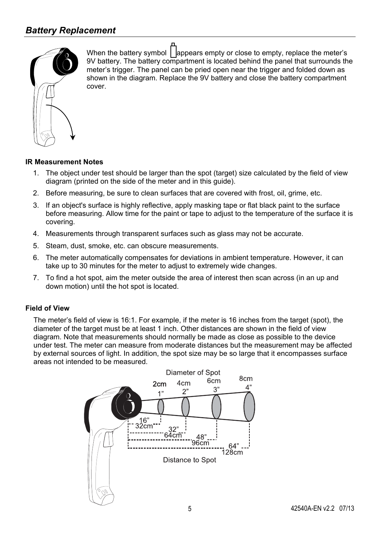

When the battery symbol  $\parallel$  appears empty or close to empty, replace the meter's 9V battery. The battery compartment is located behind the panel that surrounds the meter's trigger. The panel can be pried open near the trigger and folded down as shown in the diagram. Replace the 9V battery and close the battery compartment cover.

#### **IR Measurement Notes**

- 1. The object under test should be larger than the spot (target) size calculated by the field of view diagram (printed on the side of the meter and in this guide).
- 2. Before measuring, be sure to clean surfaces that are covered with frost, oil, grime, etc.
- 3. If an object's surface is highly reflective, apply masking tape or flat black paint to the surface before measuring. Allow time for the paint or tape to adjust to the temperature of the surface it is covering.
- 4. Measurements through transparent surfaces such as glass may not be accurate.
- 5. Steam, dust, smoke, etc. can obscure measurements.
- 6. The meter automatically compensates for deviations in ambient temperature. However, it can take up to 30 minutes for the meter to adjust to extremely wide changes.
- 7. To find a hot spot, aim the meter outside the area of interest then scan across (in an up and down motion) until the hot spot is located.

#### **Field of View**

The meter's field of view is 16:1. For example, if the meter is 16 inches from the target (spot), the diameter of the target must be at least 1 inch. Other distances are shown in the field of view diagram. Note that measurements should normally be made as close as possible to the device under test. The meter can measure from moderate distances but the measurement may be affected by external sources of light. In addition, the spot size may be so large that it encompasses surface areas not intended to be measured.

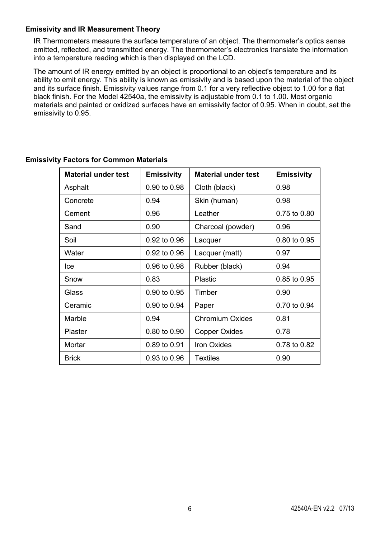#### **Emissivity and IR Measurement Theory**

IR Thermometers measure the surface temperature of an object. The thermometer's optics sense emitted, reflected, and transmitted energy. The thermometer's electronics translate the information into a temperature reading which is then displayed on the LCD.

The amount of IR energy emitted by an object is proportional to an object's temperature and its ability to emit energy. This ability is known as emissivity and is based upon the material of the object and its surface finish. Emissivity values range from 0.1 for a very reflective object to 1.00 for a flat black finish. For the Model 42540a, the emissivity is adjustable from 0.1 to 1.00. Most organic materials and painted or oxidized surfaces have an emissivity factor of 0.95. When in doubt, set the emissivity to 0.95.

| <b>Material under test</b> | <b>Emissivity</b> | <b>Material under test</b> | <b>Emissivity</b> |
|----------------------------|-------------------|----------------------------|-------------------|
| Asphalt                    | 0.90 to 0.98      | Cloth (black)              | 0.98              |
| Concrete                   | 0.94              | Skin (human)               | 0.98              |
| Cement                     | 0.96              | Leather                    | 0.75 to 0.80      |
| Sand                       | 0.90              | Charcoal (powder)          | 0.96              |
| Soil                       | 0.92 to 0.96      | Lacquer                    | 0.80 to 0.95      |
| Water                      | 0.92 to 0.96      | Lacquer (matt)             | 0.97              |
| lce                        | 0.96 to 0.98      | Rubber (black)             | 0.94              |
| Snow                       | 0.83              | Plastic                    | 0.85 to 0.95      |
| Glass                      | 0.90 to 0.95      | Timber                     | 0.90              |
| Ceramic                    | 0.90 to 0.94      | Paper                      | 0.70 to 0.94      |
| Marble                     | 0.94              | <b>Chromium Oxides</b>     | 0.81              |
| Plaster                    | 0.80 to 0.90      | Copper Oxides              | 0.78              |
| Mortar                     | 0.89 to 0.91      | Iron Oxides                | 0.78 to 0.82      |
| <b>Brick</b>               | 0.93 to 0.96      | <b>Textiles</b>            | 0.90              |

#### **Emissivity Factors for Common Materials**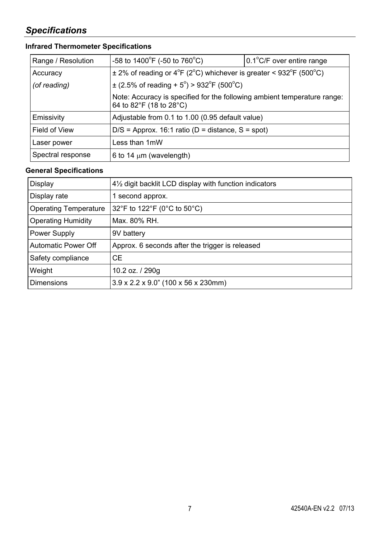# *Specifications*

## **Infrared Thermometer Specifications**

| Range / Resolution | -58 to 1400°F (-50 to 760°C)                                                                                              | $0.1^{\circ}$ C/F over entire range |  |
|--------------------|---------------------------------------------------------------------------------------------------------------------------|-------------------------------------|--|
| Accuracy           | $\pm$ 2% of reading or 4 <sup>o</sup> F (2 <sup>o</sup> C) whichever is greater < 932 <sup>o</sup> F (500 <sup>o</sup> C) |                                     |  |
| (of reading)       | $\pm$ (2.5% of reading + 5°) > 932°F (500°C)                                                                              |                                     |  |
|                    | Note: Accuracy is specified for the following ambient temperature range:<br>64 to 82°F (18 to 28°C)                       |                                     |  |
| Emissivity         | Adjustable from 0.1 to 1.00 (0.95 default value)                                                                          |                                     |  |
| Field of View      | $D/S =$ Approx. 16:1 ratio (D = distance, S = spot)                                                                       |                                     |  |
| Laser power        | Less than 1mW                                                                                                             |                                     |  |
| Spectral response  | 6 to 14 $\mu$ m (wavelength)                                                                                              |                                     |  |

## **General Specifications**

| Display                      | 41/2 digit backlit LCD display with function indicators |
|------------------------------|---------------------------------------------------------|
| Display rate                 | 1 second approx.                                        |
| <b>Operating Temperature</b> | 32°F to 122°F (0°C to 50°C)                             |
| <b>Operating Humidity</b>    | Max. 80% RH.                                            |
| Power Supply                 | 9V battery                                              |
| Automatic Power Off          | Approx. 6 seconds after the trigger is released         |
| Safety compliance            | СE                                                      |
| Weight                       | 10.2 oz. / 290g                                         |
| <b>Dimensions</b>            | 3.9 x 2.2 x 9.0" (100 x 56 x 230mm)                     |